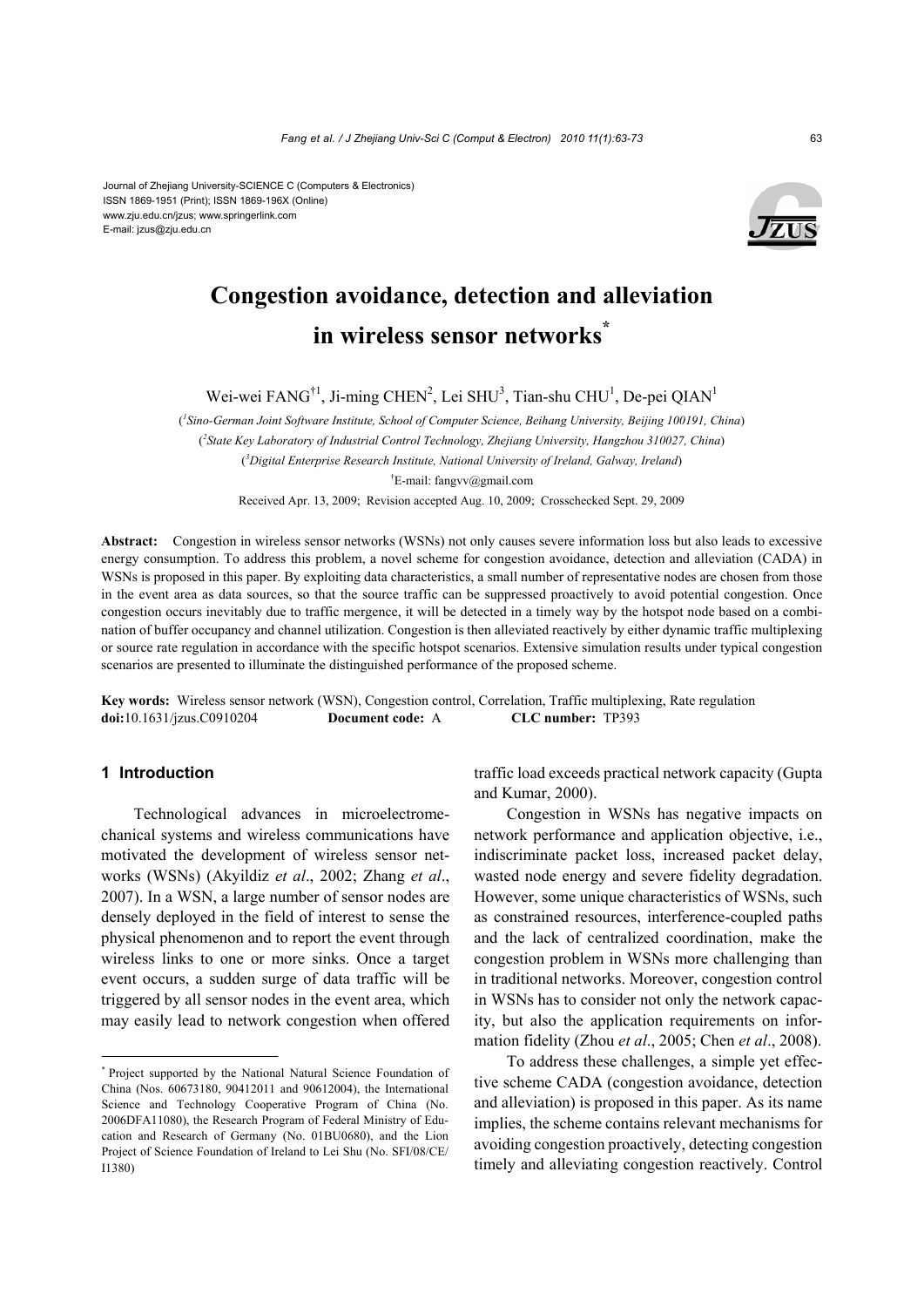Journal of Zhejiang University-SCIENCE C (Computers & Electronics) ISSN 1869-1951 (Print); ISSN 1869-196X (Online) www.zju.edu.cn/jzus; www.springerlink.com E-mail: jzus@zju.edu.cn



# **Congestion avoidance, detection and alleviation in wireless sensor networks\***

Wei-wei FANG<sup>†1</sup>, Ji-ming CHEN<sup>2</sup>, Lei SHU<sup>3</sup>, Tian-shu CHU<sup>1</sup>, De-pei QIAN<sup>1</sup>

( *1 Sino-German Joint Software Institute, School of Computer Science, Beihang University, Beijing 100191, China*) ( *2 State Key Laboratory of Industrial Control Technology, Zhejiang University, Hangzhou 310027, China*) ( *3 Digital Enterprise Research Institute, National University of Ireland, Galway, Ireland*) † E-mail: fangvv@gmail.com

Received Apr. 13, 2009; Revision accepted Aug. 10, 2009; Crosschecked Sept. 29, 2009

**Abstract:** Congestion in wireless sensor networks (WSNs) not only causes severe information loss but also leads to excessive energy consumption. To address this problem, a novel scheme for congestion avoidance, detection and alleviation (CADA) in WSNs is proposed in this paper. By exploiting data characteristics, a small number of representative nodes are chosen from those in the event area as data sources, so that the source traffic can be suppressed proactively to avoid potential congestion. Once congestion occurs inevitably due to traffic mergence, it will be detected in a timely way by the hotspot node based on a combination of buffer occupancy and channel utilization. Congestion is then alleviated reactively by either dynamic traffic multiplexing or source rate regulation in accordance with the specific hotspot scenarios. Extensive simulation results under typical congestion scenarios are presented to illuminate the distinguished performance of the proposed scheme.

**Key words:** Wireless sensor network (WSN), Congestion control, Correlation, Traffic multiplexing, Rate regulation **doi:**10.1631/jzus.C0910204 **Document code:** A **CLC number:** TP393

# **1 Introduction**

Technological advances in microelectromechanical systems and wireless communications have motivated the development of wireless sensor networks (WSNs) (Akyildiz *et al*., 2002; Zhang *et al*., 2007). In a WSN, a large number of sensor nodes are densely deployed in the field of interest to sense the physical phenomenon and to report the event through wireless links to one or more sinks. Once a target event occurs, a sudden surge of data traffic will be triggered by all sensor nodes in the event area, which may easily lead to network congestion when offered traffic load exceeds practical network capacity (Gupta and Kumar, 2000).

Congestion in WSNs has negative impacts on network performance and application objective, i.e., indiscriminate packet loss, increased packet delay, wasted node energy and severe fidelity degradation. However, some unique characteristics of WSNs, such as constrained resources, interference-coupled paths and the lack of centralized coordination, make the congestion problem in WSNs more challenging than in traditional networks. Moreover, congestion control in WSNs has to consider not only the network capacity, but also the application requirements on information fidelity (Zhou *et al*., 2005; Chen *et al*., 2008).

To address these challenges, a simple yet effective scheme CADA (congestion avoidance, detection and alleviation) is proposed in this paper. As its name implies, the scheme contains relevant mechanisms for avoiding congestion proactively, detecting congestion timely and alleviating congestion reactively. Control

<sup>\*</sup> Project supported by the National Natural Science Foundation of China (Nos. 60673180, 90412011 and 90612004), the International Science and Technology Cooperative Program of China (No. 2006DFA11080), the Research Program of Federal Ministry of Education and Research of Germany (No. 01BU0680), and the Lion Project of Science Foundation of Ireland to Lei Shu (No. SFI/08/CE/ I1380)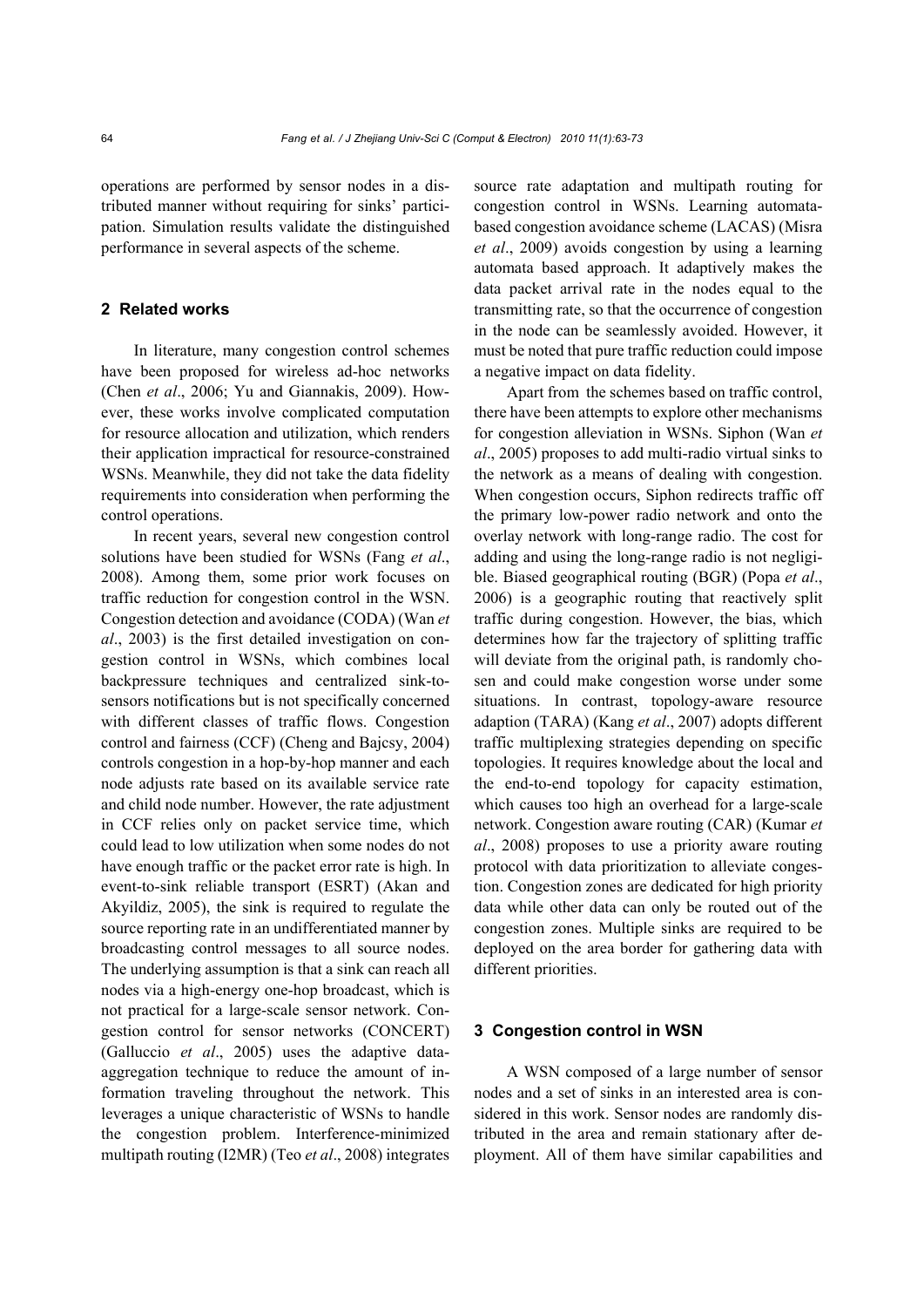operations are performed by sensor nodes in a distributed manner without requiring for sinks' participation. Simulation results validate the distinguished performance in several aspects of the scheme.

# **2 Related works**

In literature, many congestion control schemes have been proposed for wireless ad-hoc networks (Chen *et al*., 2006; Yu and Giannakis, 2009). However, these works involve complicated computation for resource allocation and utilization, which renders their application impractical for resource-constrained WSNs. Meanwhile, they did not take the data fidelity requirements into consideration when performing the control operations.

In recent years, several new congestion control solutions have been studied for WSNs (Fang *et al*., 2008). Among them, some prior work focuses on traffic reduction for congestion control in the WSN. Congestion detection and avoidance (CODA) (Wan *et al*., 2003) is the first detailed investigation on congestion control in WSNs, which combines local backpressure techniques and centralized sink-tosensors notifications but is not specifically concerned with different classes of traffic flows. Congestion control and fairness (CCF) (Cheng and Bajcsy, 2004) controls congestion in a hop-by-hop manner and each node adjusts rate based on its available service rate and child node number. However, the rate adjustment in CCF relies only on packet service time, which could lead to low utilization when some nodes do not have enough traffic or the packet error rate is high. In event-to-sink reliable transport (ESRT) (Akan and Akyildiz, 2005), the sink is required to regulate the source reporting rate in an undifferentiated manner by broadcasting control messages to all source nodes. The underlying assumption is that a sink can reach all nodes via a high-energy one-hop broadcast, which is not practical for a large-scale sensor network. Congestion control for sensor networks (CONCERT) (Galluccio *et al*., 2005) uses the adaptive dataaggregation technique to reduce the amount of information traveling throughout the network. This leverages a unique characteristic of WSNs to handle the congestion problem. Interference-minimized multipath routing (I2MR) (Teo *et al*., 2008) integrates source rate adaptation and multipath routing for congestion control in WSNs. Learning automatabased congestion avoidance scheme (LACAS) (Misra *et al*., 2009) avoids congestion by using a learning automata based approach. It adaptively makes the data packet arrival rate in the nodes equal to the transmitting rate, so that the occurrence of congestion in the node can be seamlessly avoided. However, it must be noted that pure traffic reduction could impose a negative impact on data fidelity.

Apart from the schemes based on traffic control, there have been attempts to explore other mechanisms for congestion alleviation in WSNs. Siphon (Wan *et al*., 2005) proposes to add multi-radio virtual sinks to the network as a means of dealing with congestion. When congestion occurs, Siphon redirects traffic off the primary low-power radio network and onto the overlay network with long-range radio. The cost for adding and using the long-range radio is not negligible. Biased geographical routing (BGR) (Popa *et al*., 2006) is a geographic routing that reactively split traffic during congestion. However, the bias, which determines how far the trajectory of splitting traffic will deviate from the original path, is randomly chosen and could make congestion worse under some situations. In contrast, topology-aware resource adaption (TARA) (Kang *et al*., 2007) adopts different traffic multiplexing strategies depending on specific topologies. It requires knowledge about the local and the end-to-end topology for capacity estimation, which causes too high an overhead for a large-scale network. Congestion aware routing (CAR) (Kumar *et al*., 2008) proposes to use a priority aware routing protocol with data prioritization to alleviate congestion. Congestion zones are dedicated for high priority data while other data can only be routed out of the congestion zones. Multiple sinks are required to be deployed on the area border for gathering data with different priorities.

## **3 Congestion control in WSN**

A WSN composed of a large number of sensor nodes and a set of sinks in an interested area is considered in this work. Sensor nodes are randomly distributed in the area and remain stationary after deployment. All of them have similar capabilities and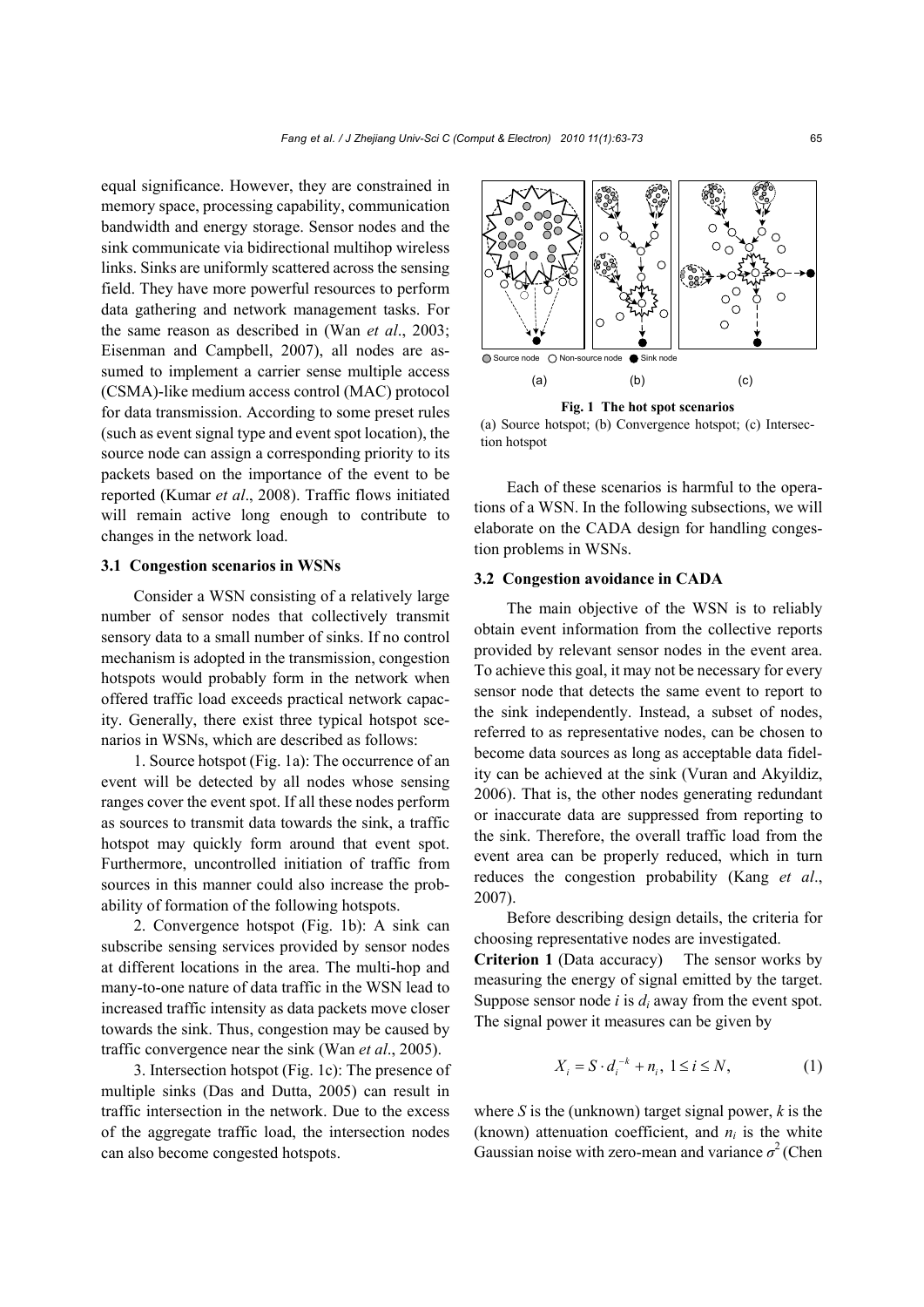equal significance. However, they are constrained in memory space, processing capability, communication bandwidth and energy storage. Sensor nodes and the sink communicate via bidirectional multihop wireless links. Sinks are uniformly scattered across the sensing field. They have more powerful resources to perform data gathering and network management tasks. For the same reason as described in (Wan *et al*., 2003; Eisenman and Campbell, 2007), all nodes are assumed to implement a carrier sense multiple access (CSMA)-like medium access control (MAC) protocol for data transmission. According to some preset rules (such as event signal type and event spot location), the source node can assign a corresponding priority to its packets based on the importance of the event to be reported (Kumar *et al*., 2008). Traffic flows initiated will remain active long enough to contribute to changes in the network load.

#### **3.1 Congestion scenarios in WSNs**

Consider a WSN consisting of a relatively large number of sensor nodes that collectively transmit sensory data to a small number of sinks. If no control mechanism is adopted in the transmission, congestion hotspots would probably form in the network when offered traffic load exceeds practical network capacity. Generally, there exist three typical hotspot scenarios in WSNs, which are described as follows:

1. Source hotspot (Fig. 1a): The occurrence of an event will be detected by all nodes whose sensing ranges cover the event spot. If all these nodes perform as sources to transmit data towards the sink, a traffic hotspot may quickly form around that event spot. Furthermore, uncontrolled initiation of traffic from sources in this manner could also increase the probability of formation of the following hotspots.

2. Convergence hotspot (Fig. 1b): A sink can subscribe sensing services provided by sensor nodes at different locations in the area. The multi-hop and many-to-one nature of data traffic in the WSN lead to increased traffic intensity as data packets move closer towards the sink. Thus, congestion may be caused by traffic convergence near the sink (Wan *et al*., 2005).

3. Intersection hotspot (Fig. 1c): The presence of multiple sinks (Das and Dutta, 2005) can result in traffic intersection in the network. Due to the excess of the aggregate traffic load, the intersection nodes can also become congested hotspots.



**Fig. 1 The hot spot scenarios** 

(a) Source hotspot; (b) Convergence hotspot; (c) Intersection hotspot

Each of these scenarios is harmful to the operations of a WSN. In the following subsections, we will elaborate on the CADA design for handling congestion problems in WSNs.

## **3.2 Congestion avoidance in CADA**

The main objective of the WSN is to reliably obtain event information from the collective reports provided by relevant sensor nodes in the event area. To achieve this goal, it may not be necessary for every sensor node that detects the same event to report to the sink independently. Instead, a subset of nodes, referred to as representative nodes, can be chosen to become data sources as long as acceptable data fidelity can be achieved at the sink (Vuran and Akyildiz, 2006). That is, the other nodes generating redundant or inaccurate data are suppressed from reporting to the sink. Therefore, the overall traffic load from the event area can be properly reduced, which in turn reduces the congestion probability (Kang *et al*., 2007).

Before describing design details, the criteria for choosing representative nodes are investigated.

**Criterion 1** (Data accuracy) The sensor works by measuring the energy of signal emitted by the target. Suppose sensor node *i* is *di* away from the event spot. The signal power it measures can be given by

$$
X_i = S \cdot d_i^{-k} + n_i, \ 1 \le i \le N,
$$
 (1)

where *S* is the (unknown) target signal power, *k* is the (known) attenuation coefficient, and  $n_i$  is the white Gaussian noise with zero-mean and variance  $\sigma^2$  (Chen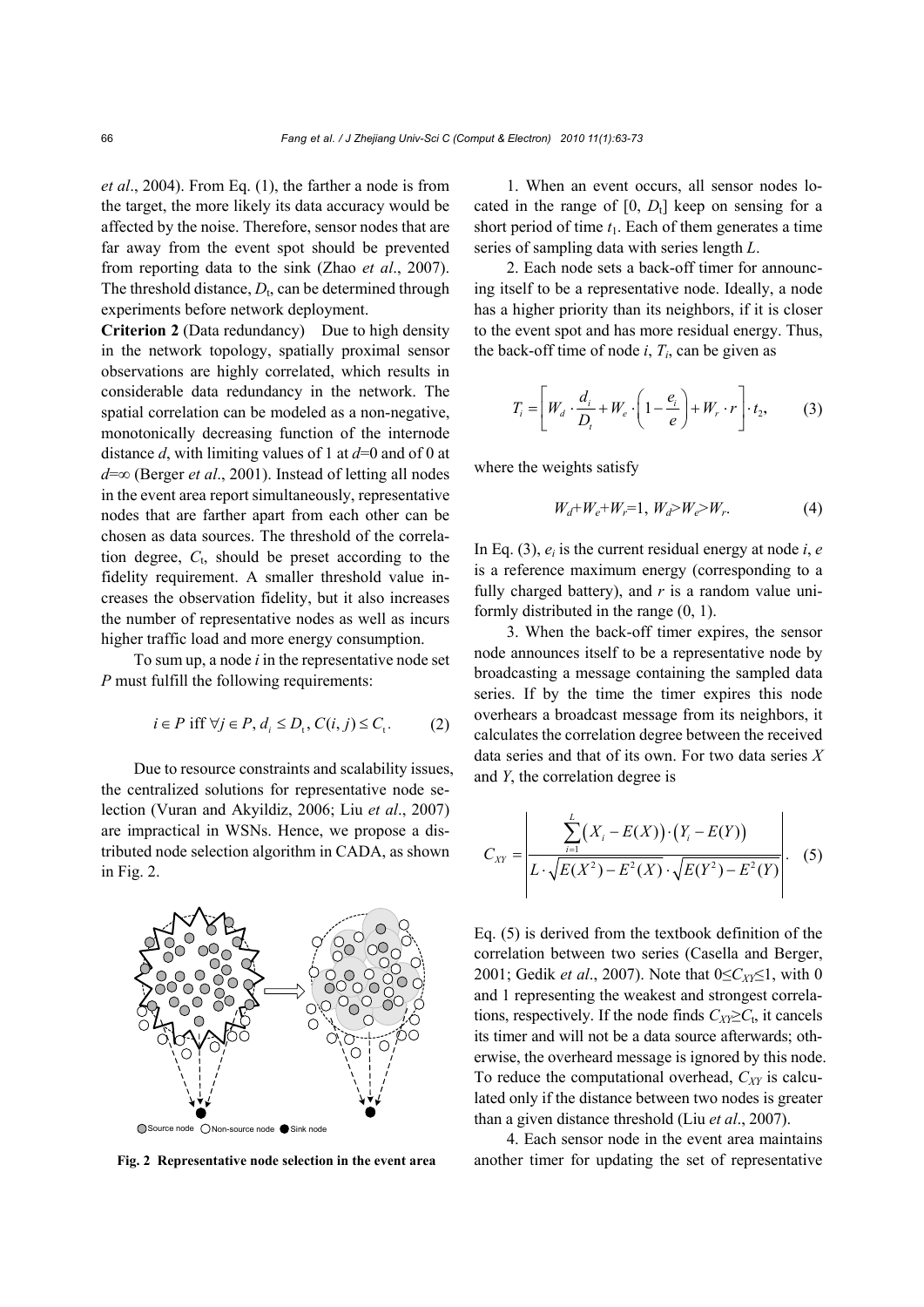*et al*., 2004). From Eq. (1), the farther a node is from the target, the more likely its data accuracy would be affected by the noise. Therefore, sensor nodes that are far away from the event spot should be prevented from reporting data to the sink (Zhao *et al*., 2007). The threshold distance,  $D_t$ , can be determined through experiments before network deployment.

**Criterion 2** (Data redundancy) Due to high density in the network topology, spatially proximal sensor observations are highly correlated, which results in considerable data redundancy in the network. The spatial correlation can be modeled as a non-negative, monotonically decreasing function of the internode distance *d*, with limiting values of 1 at *d*=0 and of 0 at *d*=∞ (Berger *et al*., 2001). Instead of letting all nodes in the event area report simultaneously, representative nodes that are farther apart from each other can be chosen as data sources. The threshold of the correlation degree, *C*t, should be preset according to the fidelity requirement. A smaller threshold value increases the observation fidelity, but it also increases the number of representative nodes as well as incurs higher traffic load and more energy consumption.

To sum up, a node *i* in the representative node set *P* must fulfill the following requirements:

$$
i \in P \text{ iff } \forall j \in P, d_i \le D_t, C(i, j) \le C_t. \tag{2}
$$

Due to resource constraints and scalability issues, the centralized solutions for representative node selection (Vuran and Akyildiz, 2006; Liu *et al*., 2007) are impractical in WSNs. Hence, we propose a distributed node selection algorithm in CADA, as shown in Fig. 2.



1. When an event occurs, all sensor nodes located in the range of  $[0, D_t]$  keep on sensing for a short period of time  $t_1$ . Each of them generates a time series of sampling data with series length *L*.

2. Each node sets a back-off timer for announcing itself to be a representative node. Ideally, a node has a higher priority than its neighbors, if it is closer to the event spot and has more residual energy. Thus, the back-off time of node  $i$ ,  $T_i$ , can be given as

$$
T_i = \left[W_d \cdot \frac{d_i}{D_t} + W_e \cdot \left(1 - \frac{e_i}{e}\right) + W_r \cdot r\right] \cdot t_2, \tag{3}
$$

where the weights satisfy

$$
W_d + W_e + W_r = 1, W_d > W_e > W_r.
$$
 (4)

In Eq. (3),  $e_i$  is the current residual energy at node *i*, *e* is a reference maximum energy (corresponding to a fully charged battery), and *r* is a random value uniformly distributed in the range (0, 1).

3. When the back-off timer expires, the sensor node announces itself to be a representative node by broadcasting a message containing the sampled data series. If by the time the timer expires this node overhears a broadcast message from its neighbors, it calculates the correlation degree between the received data series and that of its own. For two data series *X* and *Y*, the correlation degree is

$$
C_{XY} = \left| \frac{\sum_{i=1}^{L} (X_i - E(X)) \cdot (Y_i - E(Y))}{L \cdot \sqrt{E(X^2) - E^2(X)} \cdot \sqrt{E(Y^2) - E^2(Y)}} \right|.
$$
 (5)

Eq. (5) is derived from the textbook definition of the correlation between two series (Casella and Berger, 2001; Gedik *et al.*, 2007). Note that 0≤*C<sub>XY</sub>*≤1, with 0 and 1 representing the weakest and strongest correlations, respectively. If the node finds  $C_{XY} \geq C_t$ , it cancels its timer and will not be a data source afterwards; otherwise, the overheard message is ignored by this node. To reduce the computational overhead,  $C_{XY}$  is calculated only if the distance between two nodes is greater than a given distance threshold (Liu *et al*., 2007).

4. Each sensor node in the event area maintains **Fig. 2 Representative node selection in the event area** another timer for updating the set of representative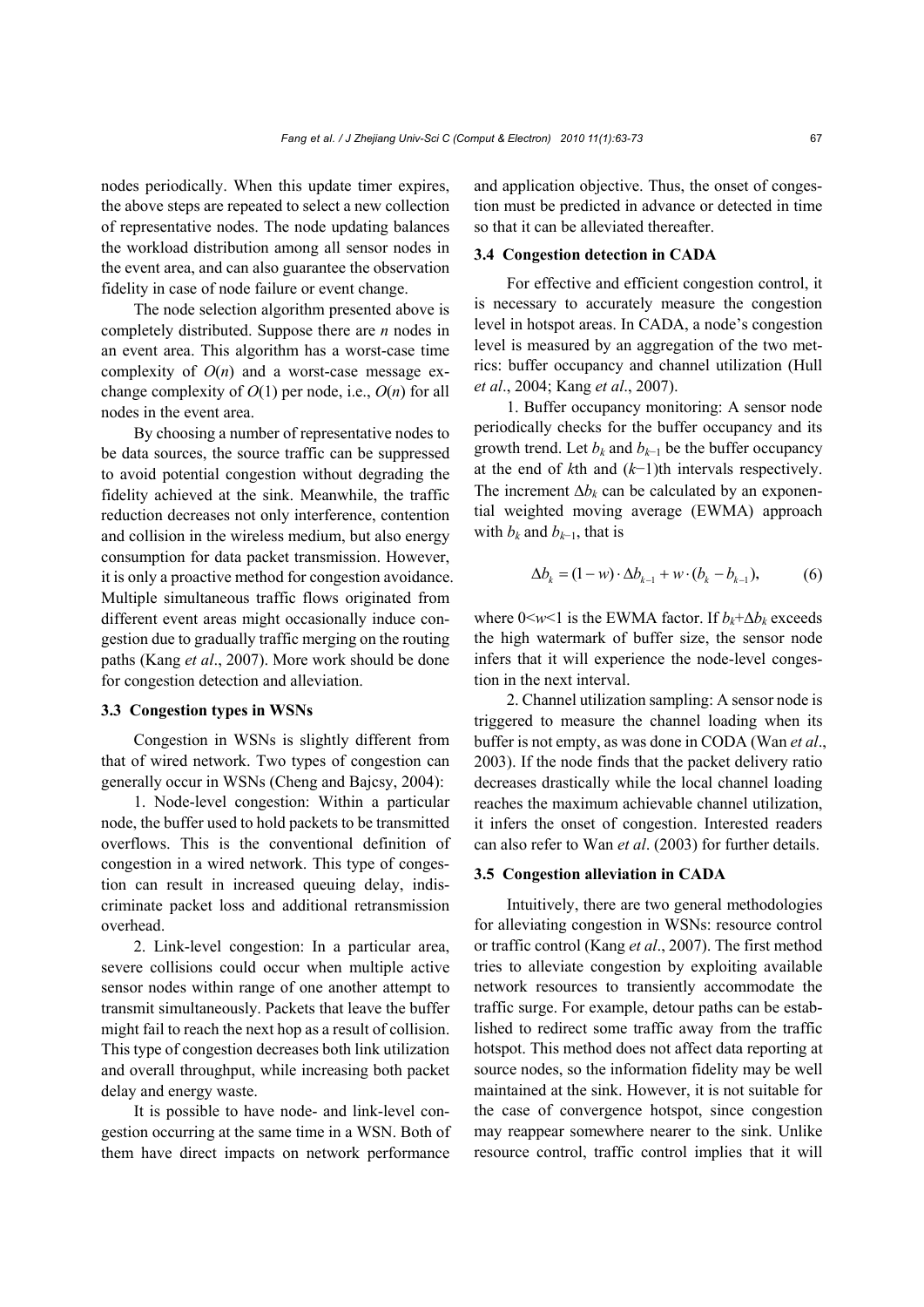nodes periodically. When this update timer expires, the above steps are repeated to select a new collection of representative nodes. The node updating balances the workload distribution among all sensor nodes in the event area, and can also guarantee the observation fidelity in case of node failure or event change.

The node selection algorithm presented above is completely distributed. Suppose there are *n* nodes in an event area. This algorithm has a worst-case time complexity of  $O(n)$  and a worst-case message exchange complexity of  $O(1)$  per node, i.e.,  $O(n)$  for all nodes in the event area.

By choosing a number of representative nodes to be data sources, the source traffic can be suppressed to avoid potential congestion without degrading the fidelity achieved at the sink. Meanwhile, the traffic reduction decreases not only interference, contention and collision in the wireless medium, but also energy consumption for data packet transmission. However, it is only a proactive method for congestion avoidance. Multiple simultaneous traffic flows originated from different event areas might occasionally induce congestion due to gradually traffic merging on the routing paths (Kang *et al*., 2007). More work should be done for congestion detection and alleviation.

# **3.3 Congestion types in WSNs**

Congestion in WSNs is slightly different from that of wired network. Two types of congestion can generally occur in WSNs (Cheng and Bajcsy, 2004):

1. Node-level congestion: Within a particular node, the buffer used to hold packets to be transmitted overflows. This is the conventional definition of congestion in a wired network. This type of congestion can result in increased queuing delay, indiscriminate packet loss and additional retransmission overhead.

2. Link-level congestion: In a particular area, severe collisions could occur when multiple active sensor nodes within range of one another attempt to transmit simultaneously. Packets that leave the buffer might fail to reach the next hop as a result of collision. This type of congestion decreases both link utilization and overall throughput, while increasing both packet delay and energy waste.

It is possible to have node- and link-level congestion occurring at the same time in a WSN. Both of them have direct impacts on network performance and application objective. Thus, the onset of congestion must be predicted in advance or detected in time so that it can be alleviated thereafter.

#### **3.4 Congestion detection in CADA**

For effective and efficient congestion control, it is necessary to accurately measure the congestion level in hotspot areas. In CADA, a node's congestion level is measured by an aggregation of the two metrics: buffer occupancy and channel utilization (Hull *et al*., 2004; Kang *et al*., 2007).

1. Buffer occupancy monitoring: A sensor node periodically checks for the buffer occupancy and its growth trend. Let  $b_k$  and  $b_{k-1}$  be the buffer occupancy at the end of *k*th and (*k*−1)th intervals respectively. The increment  $\Delta b_k$  can be calculated by an exponential weighted moving average (EWMA) approach with  $b_k$  and  $b_{k-1}$ , that is

$$
\Delta b_k = (1 - w) \cdot \Delta b_{k-1} + w \cdot (b_k - b_{k-1}),
$$
 (6)

where  $0 \le w \le 1$  is the EWMA factor. If  $b_k + \Delta b_k$  exceeds the high watermark of buffer size, the sensor node infers that it will experience the node-level congestion in the next interval.

2. Channel utilization sampling: A sensor node is triggered to measure the channel loading when its buffer is not empty, as was done in CODA (Wan *et al*., 2003). If the node finds that the packet delivery ratio decreases drastically while the local channel loading reaches the maximum achievable channel utilization, it infers the onset of congestion. Interested readers can also refer to Wan *et al*. (2003) for further details.

#### **3.5 Congestion alleviation in CADA**

Intuitively, there are two general methodologies for alleviating congestion in WSNs: resource control or traffic control (Kang *et al*., 2007). The first method tries to alleviate congestion by exploiting available network resources to transiently accommodate the traffic surge. For example, detour paths can be established to redirect some traffic away from the traffic hotspot. This method does not affect data reporting at source nodes, so the information fidelity may be well maintained at the sink. However, it is not suitable for the case of convergence hotspot, since congestion may reappear somewhere nearer to the sink. Unlike resource control, traffic control implies that it will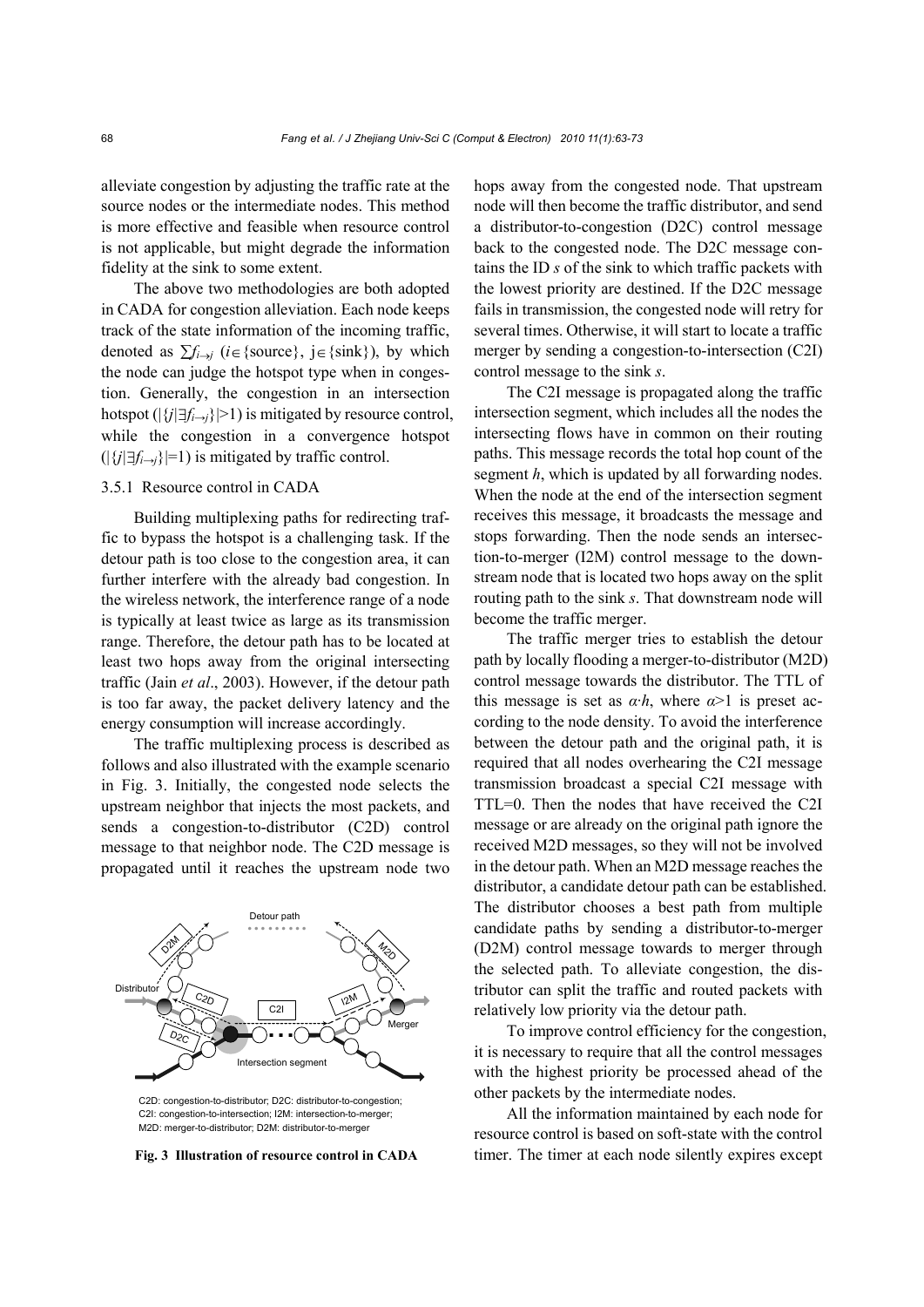alleviate congestion by adjusting the traffic rate at the source nodes or the intermediate nodes. This method is more effective and feasible when resource control is not applicable, but might degrade the information fidelity at the sink to some extent.

The above two methodologies are both adopted in CADA for congestion alleviation. Each node keeps track of the state information of the incoming traffic, denoted as  $\sum f_{i\rightarrow j}$  (*i*∈{source}, j∈{sink}), by which the node can judge the hotspot type when in congestion. Generally, the congestion in an intersection hotspot ( $|\{j|\exists f_{i\rightarrow j}\}|>1$ ) is mitigated by resource control, while the congestion in a convergence hotspot (|{*j|*∃*fi→j*}|=1) is mitigated by traffic control.

# 3.5.1 Resource control in CADA

Building multiplexing paths for redirecting traffic to bypass the hotspot is a challenging task. If the detour path is too close to the congestion area, it can further interfere with the already bad congestion. In the wireless network, the interference range of a node is typically at least twice as large as its transmission range. Therefore, the detour path has to be located at least two hops away from the original intersecting traffic (Jain *et al*., 2003). However, if the detour path is too far away, the packet delivery latency and the energy consumption will increase accordingly.

The traffic multiplexing process is described as follows and also illustrated with the example scenario in Fig. 3. Initially, the congested node selects the upstream neighbor that injects the most packets, and sends a congestion-to-distributor (C2D) control message to that neighbor node. The C2D message is propagated until it reaches the upstream node two



C2D: congestion-to-distributor; D2C: distributor-to-congestion; C2I: congestion-to-intersection; I2M: intersection-to-merger; M2D: merger-to-distributor; D2M: distributor-to-merger

hops away from the congested node. That upstream node will then become the traffic distributor, and send a distributor-to-congestion (D2C) control message back to the congested node. The D2C message contains the ID *s* of the sink to which traffic packets with the lowest priority are destined. If the D2C message fails in transmission, the congested node will retry for several times. Otherwise, it will start to locate a traffic merger by sending a congestion-to-intersection (C2I) control message to the sink *s*.

The C2I message is propagated along the traffic intersection segment, which includes all the nodes the intersecting flows have in common on their routing paths. This message records the total hop count of the segment *h*, which is updated by all forwarding nodes. When the node at the end of the intersection segment receives this message, it broadcasts the message and stops forwarding. Then the node sends an intersection-to-merger (I2M) control message to the downstream node that is located two hops away on the split routing path to the sink *s*. That downstream node will become the traffic merger.

The traffic merger tries to establish the detour path by locally flooding a merger-to-distributor (M2D) control message towards the distributor. The TTL of this message is set as  $\alpha \cdot h$ , where  $\alpha > 1$  is preset according to the node density. To avoid the interference between the detour path and the original path, it is required that all nodes overhearing the C2I message transmission broadcast a special C2I message with TTL=0. Then the nodes that have received the C2I message or are already on the original path ignore the received M2D messages, so they will not be involved in the detour path. When an M2D message reaches the distributor, a candidate detour path can be established. The distributor chooses a best path from multiple candidate paths by sending a distributor-to-merger (D2M) control message towards to merger through the selected path. To alleviate congestion, the distributor can split the traffic and routed packets with relatively low priority via the detour path.

To improve control efficiency for the congestion, it is necessary to require that all the control messages with the highest priority be processed ahead of the other packets by the intermediate nodes.

All the information maintained by each node for resource control is based on soft-state with the control **Fig. 3 Illustration of resource control in CADA** timer. The timer at each node silently expires except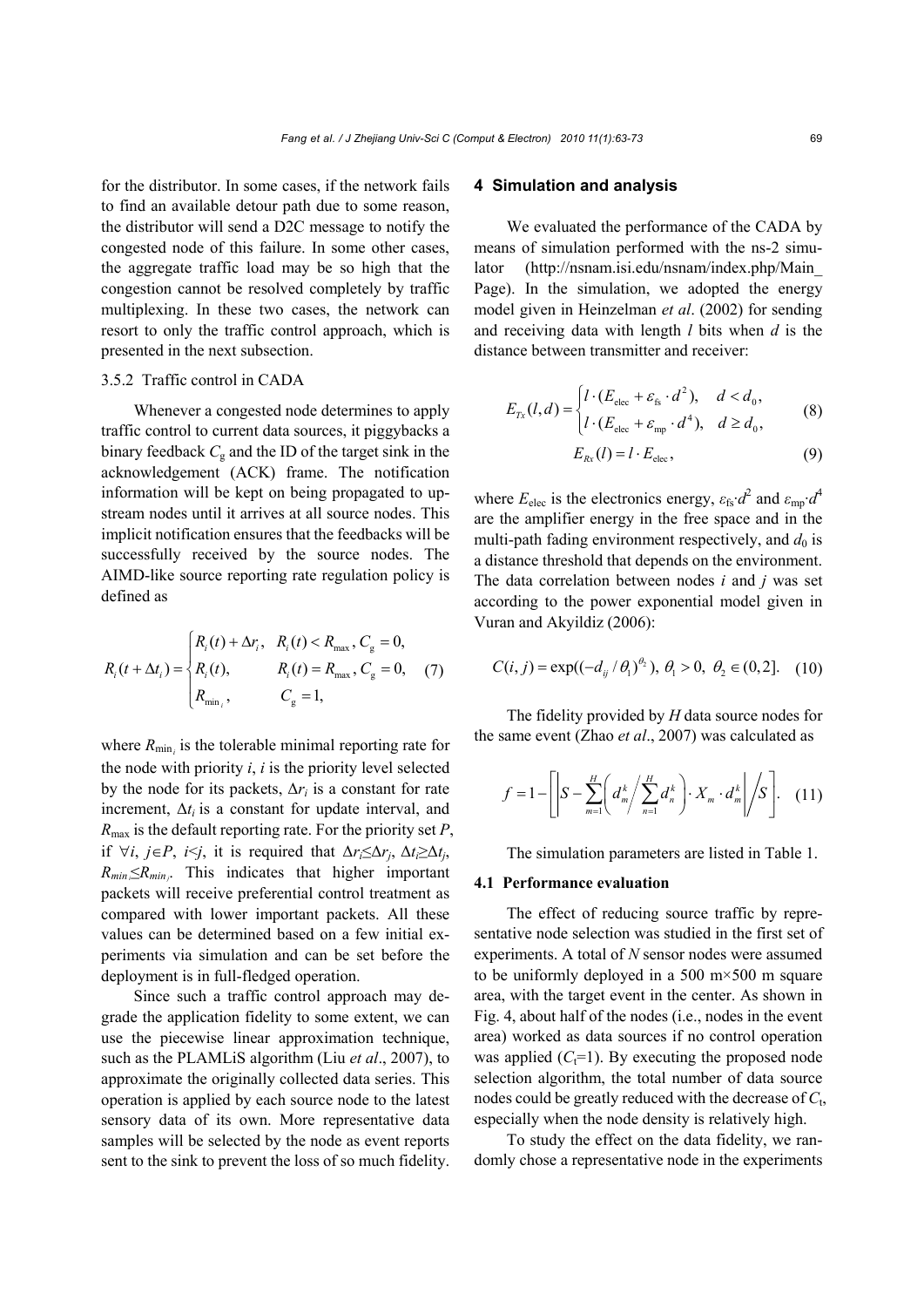for the distributor. In some cases, if the network fails to find an available detour path due to some reason, the distributor will send a D2C message to notify the congested node of this failure. In some other cases, the aggregate traffic load may be so high that the congestion cannot be resolved completely by traffic multiplexing. In these two cases, the network can resort to only the traffic control approach, which is presented in the next subsection.

## 3.5.2 Traffic control in CADA

Whenever a congested node determines to apply traffic control to current data sources, it piggybacks a binary feedback  $C_g$  and the ID of the target sink in the acknowledgement (ACK) frame. The notification information will be kept on being propagated to upstream nodes until it arrives at all source nodes. This implicit notification ensures that the feedbacks will be successfully received by the source nodes. The AIMD-like source reporting rate regulation policy is defined as

$$
R_i(t + \Delta t_i) = \begin{cases} R_i(t) + \Delta r_i, & R_i(t) < R_{\text{max}}, C_{\text{g}} = 0, \\ R_i(t), & R_i(t) = R_{\text{max}}, C_{\text{g}} = 0, \\ R_{\text{min}}, & C_{\text{g}} = 1, \end{cases} \tag{7}
$$

where  $R_{\min_i}$  is the tolerable minimal reporting rate for the node with priority *i*, *i* is the priority level selected by the node for its packets,  $\Delta r_i$  is a constant for rate increment,  $\Delta t_i$  is a constant for update interval, and *R*max is the default reporting rate. For the priority set *P*, if  $\forall i, j \in P$ , *i* $\leq j$ , it is required that  $\Delta r \leq \Delta r_i$ ,  $\Delta t \geq \Delta t_i$ ,  $R_{min} \le R_{min}$ . This indicates that higher important packets will receive preferential control treatment as compared with lower important packets. All these values can be determined based on a few initial experiments via simulation and can be set before the deployment is in full-fledged operation.

Since such a traffic control approach may degrade the application fidelity to some extent, we can use the piecewise linear approximation technique, such as the PLAMLiS algorithm (Liu *et al*., 2007), to approximate the originally collected data series. This operation is applied by each source node to the latest sensory data of its own. More representative data samples will be selected by the node as event reports sent to the sink to prevent the loss of so much fidelity.

## **4 Simulation and analysis**

We evaluated the performance of the CADA by means of simulation performed with the ns-2 simulator (http://nsnam.isi.edu/nsnam/index.php/Main\_ Page). In the simulation, we adopted the energy model given in Heinzelman *et al*. (2002) for sending and receiving data with length *l* bits when *d* is the distance between transmitter and receiver:

$$
E_{Tx}(l,d) = \begin{cases} l \cdot (E_{\text{elec}} + \varepsilon_{\text{fs}} \cdot d^2), & d < d_0, \\ l \cdot (E_{\text{elec}} + \varepsilon_{\text{mp}} \cdot d^4), & d \ge d_0, \end{cases}
$$
 (8)

$$
E_{Rx}(l) = l \cdot E_{\text{elec}},\tag{9}
$$

where  $E_{\text{elec}}$  is the electronics energy,  $\varepsilon_{\text{fs}} \cdot d^2$  and  $\varepsilon_{\text{mp}} \cdot d^4$ are the amplifier energy in the free space and in the multi-path fading environment respectively, and  $d_0$  is a distance threshold that depends on the environment. The data correlation between nodes *i* and *j* was set according to the power exponential model given in Vuran and Akyildiz (2006):

$$
C(i, j) = \exp((-d_{ij}/\theta_1)^{\theta_2}), \theta_1 > 0, \theta_2 \in (0, 2].
$$
 (10)

The fidelity provided by *H* data source nodes for the same event (Zhao *et al*., 2007) was calculated as

$$
f = 1 - \left[ \left| S - \sum_{m=1}^{H} \left( d_m^k / \sum_{n=1}^{H} d_n^k \right) \cdot X_m \cdot d_m^k \right| \bigg/ S \right]. \quad (11)
$$

The simulation parameters are listed in Table 1.

# **4.1 Performance evaluation**

The effect of reducing source traffic by representative node selection was studied in the first set of experiments. A total of *N* sensor nodes were assumed to be uniformly deployed in a 500  $m \times 500$  m square area, with the target event in the center. As shown in Fig. 4, about half of the nodes (i.e., nodes in the event area) worked as data sources if no control operation was applied  $(C<sub>t</sub>=1)$ . By executing the proposed node selection algorithm, the total number of data source nodes could be greatly reduced with the decrease of *C*t, especially when the node density is relatively high.

To study the effect on the data fidelity, we randomly chose a representative node in the experiments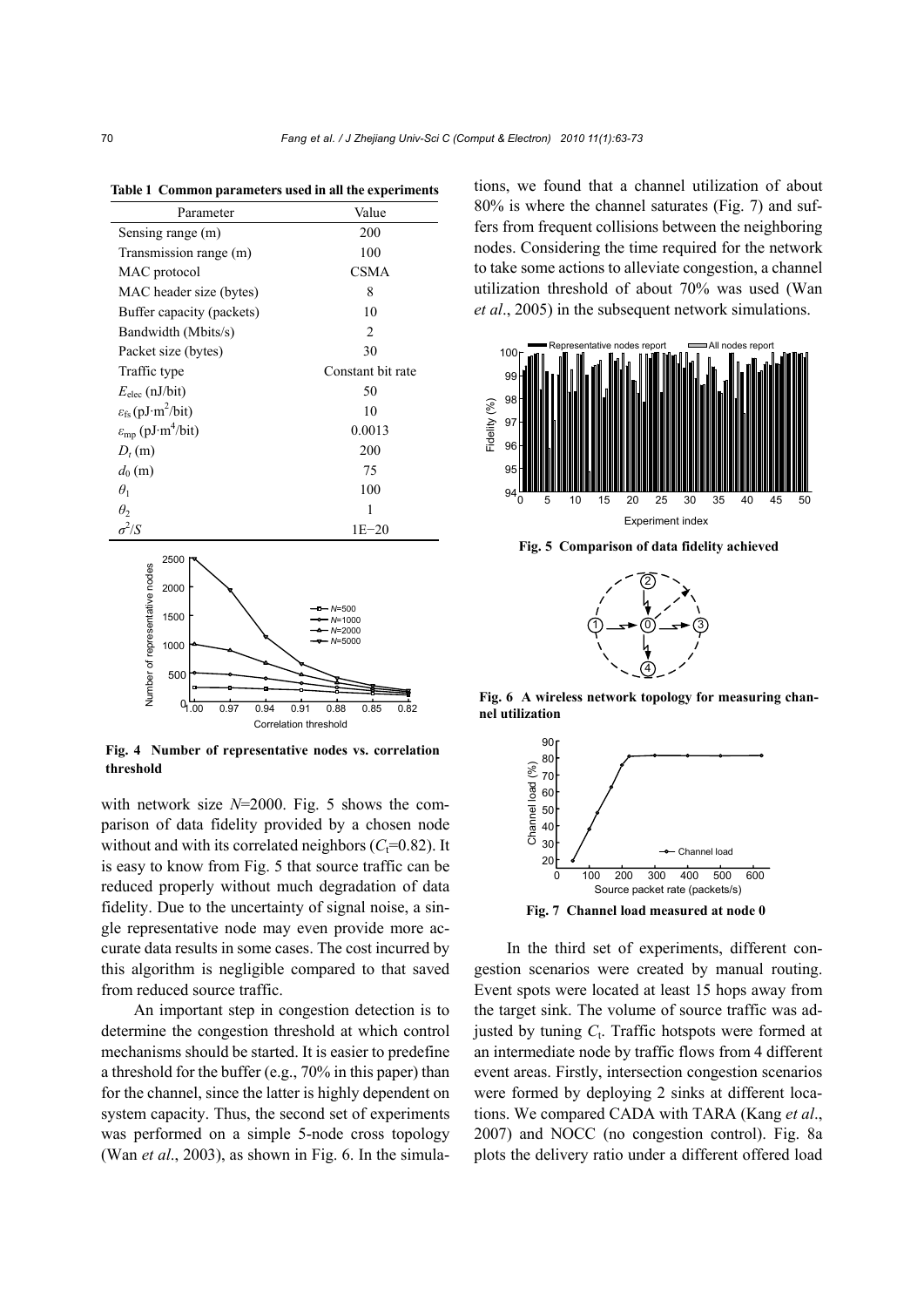**Table 1 Common parameters used in all the experiments**

| Parameter                                       | Value             |
|-------------------------------------------------|-------------------|
| Sensing range (m)                               | 200               |
| Transmission range (m)                          | 100               |
| MAC protocol                                    | CSMA              |
| MAC header size (bytes)                         | 8                 |
| Buffer capacity (packets)                       | 10                |
| Bandwidth (Mbits/s)                             | 2                 |
| Packet size (bytes)                             | 30                |
| Traffic type                                    | Constant bit rate |
| $E_{\text{elec}}$ (nJ/bit)                      | 50                |
| $\varepsilon_{fs}$ (pJ·m <sup>2</sup> /bit)     | 10                |
| $\varepsilon_{\rm mp}$ (pJ·m <sup>4</sup> /bit) | 0.0013            |
| $D_t(m)$                                        | 200               |
| $d_0(m)$                                        | 75                |
| $\theta_1$                                      | 100               |
| $\theta_2$                                      | 1                 |
| $\sigma^2/S$                                    | $1E - 20$         |
| ים ∩הבר                                         |                   |



**Fig. 4 Number of representative nodes vs. correlation threshold** 

with network size *N*=2000. Fig. 5 shows the comparison of data fidelity provided by a chosen node without and with its correlated neighbors  $(C<sub>t</sub>=0.82)$ . It is easy to know from Fig. 5 that source traffic can be reduced properly without much degradation of data fidelity. Due to the uncertainty of signal noise, a single representative node may even provide more accurate data results in some cases. The cost incurred by this algorithm is negligible compared to that saved from reduced source traffic.

An important step in congestion detection is to determine the congestion threshold at which control mechanisms should be started. It is easier to predefine a threshold for the buffer (e.g., 70% in this paper) than for the channel, since the latter is highly dependent on system capacity. Thus, the second set of experiments was performed on a simple 5-node cross topology (Wan *et al*., 2003), as shown in Fig. 6. In the simulations, we found that a channel utilization of about 80% is where the channel saturates (Fig. 7) and suffers from frequent collisions between the neighboring nodes. Considering the time required for the network to take some actions to alleviate congestion, a channel utilization threshold of about 70% was used (Wan *et al*., 2005) in the subsequent network simulations.



**Fig. 5 Comparison of data fidelity achieved** 



**Fig. 6 A wireless network topology for measuring channel utilization**



In the third set of experiments, different congestion scenarios were created by manual routing. Event spots were located at least 15 hops away from the target sink. The volume of source traffic was adjusted by tuning  $C_t$ . Traffic hotspots were formed at an intermediate node by traffic flows from 4 different event areas. Firstly, intersection congestion scenarios were formed by deploying 2 sinks at different locations. We compared CADA with TARA (Kang *et al*., 2007) and NOCC (no congestion control). Fig. 8a plots the delivery ratio under a different offered load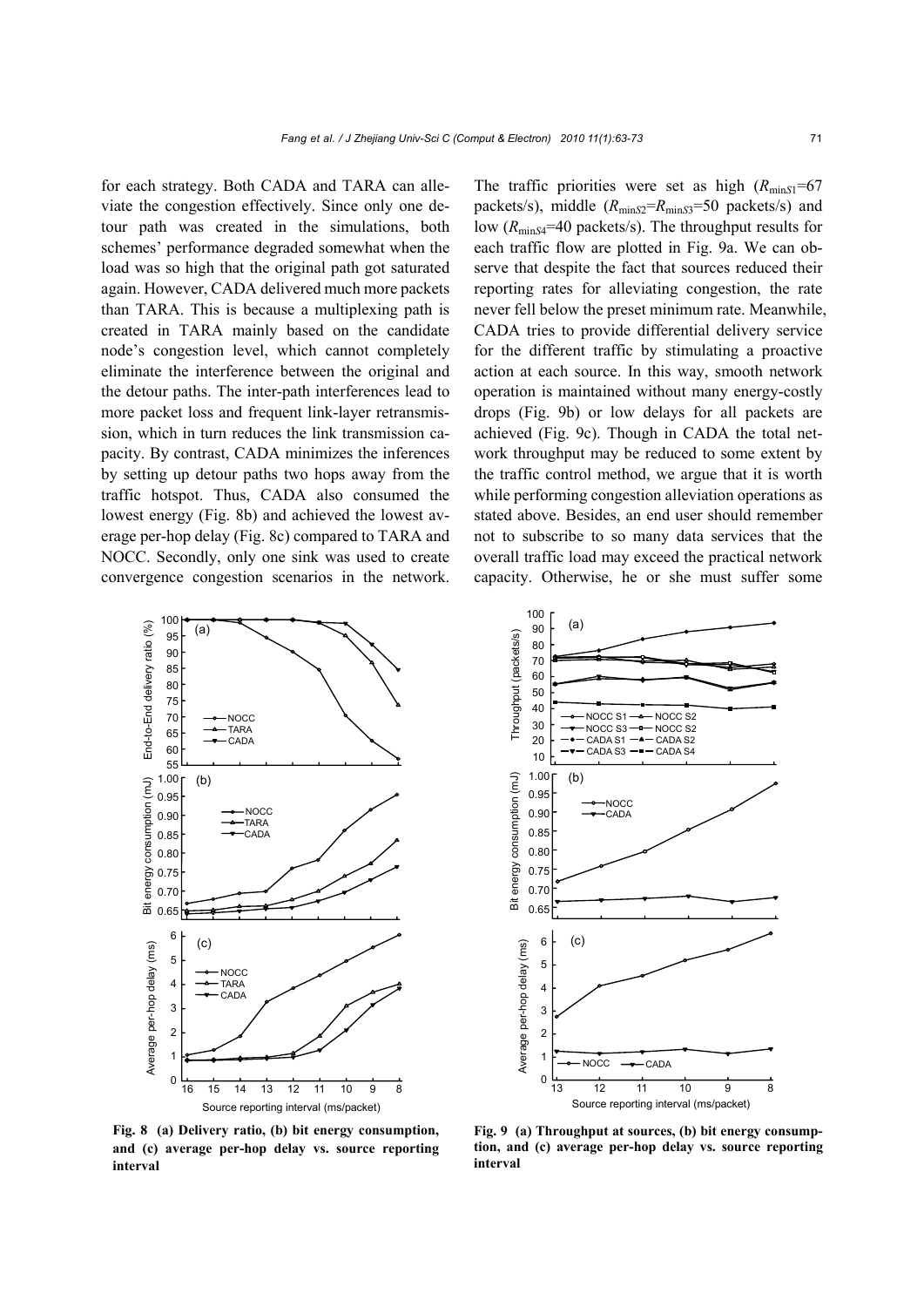for each strategy. Both CADA and TARA can alleviate the congestion effectively. Since only one detour path was created in the simulations, both schemes' performance degraded somewhat when the load was so high that the original path got saturated again. However, CADA delivered much more packets than TARA. This is because a multiplexing path is created in TARA mainly based on the candidate node's congestion level, which cannot completely eliminate the interference between the original and the detour paths. The inter-path interferences lead to more packet loss and frequent link-layer retransmission, which in turn reduces the link transmission capacity. By contrast, CADA minimizes the inferences by setting up detour paths two hops away from the traffic hotspot. Thus, CADA also consumed the lowest energy (Fig. 8b) and achieved the lowest average per-hop delay (Fig. 8c) compared to TARA and NOCC. Secondly, only one sink was used to create convergence congestion scenarios in the network.

The traffic priorities were set as high  $(R_{minS1} = 67$ packets/s), middle ( $R_{\text{minS2}}=R_{\text{minS3}}=50$  packets/s) and low ( $R_{\text{minS4}}$ =40 packets/s). The throughput results for each traffic flow are plotted in Fig. 9a. We can observe that despite the fact that sources reduced their reporting rates for alleviating congestion, the rate never fell below the preset minimum rate. Meanwhile, CADA tries to provide differential delivery service for the different traffic by stimulating a proactive action at each source. In this way, smooth network operation is maintained without many energy-costly drops (Fig. 9b) or low delays for all packets are achieved (Fig. 9c). Though in CADA the total network throughput may be reduced to some extent by the traffic control method, we argue that it is worth while performing congestion alleviation operations as stated above. Besides, an end user should remember not to subscribe to so many data services that the overall traffic load may exceed the practical network capacity. Otherwise, he or she must suffer some





**Fig. 8 (a) Delivery ratio, (b) bit energy consumption, and (c) average per-hop delay vs. source reporting interval** 

**Fig. 9 (a) Throughput at sources, (b) bit energy consumption, and (c) average per-hop delay vs. source reporting interval**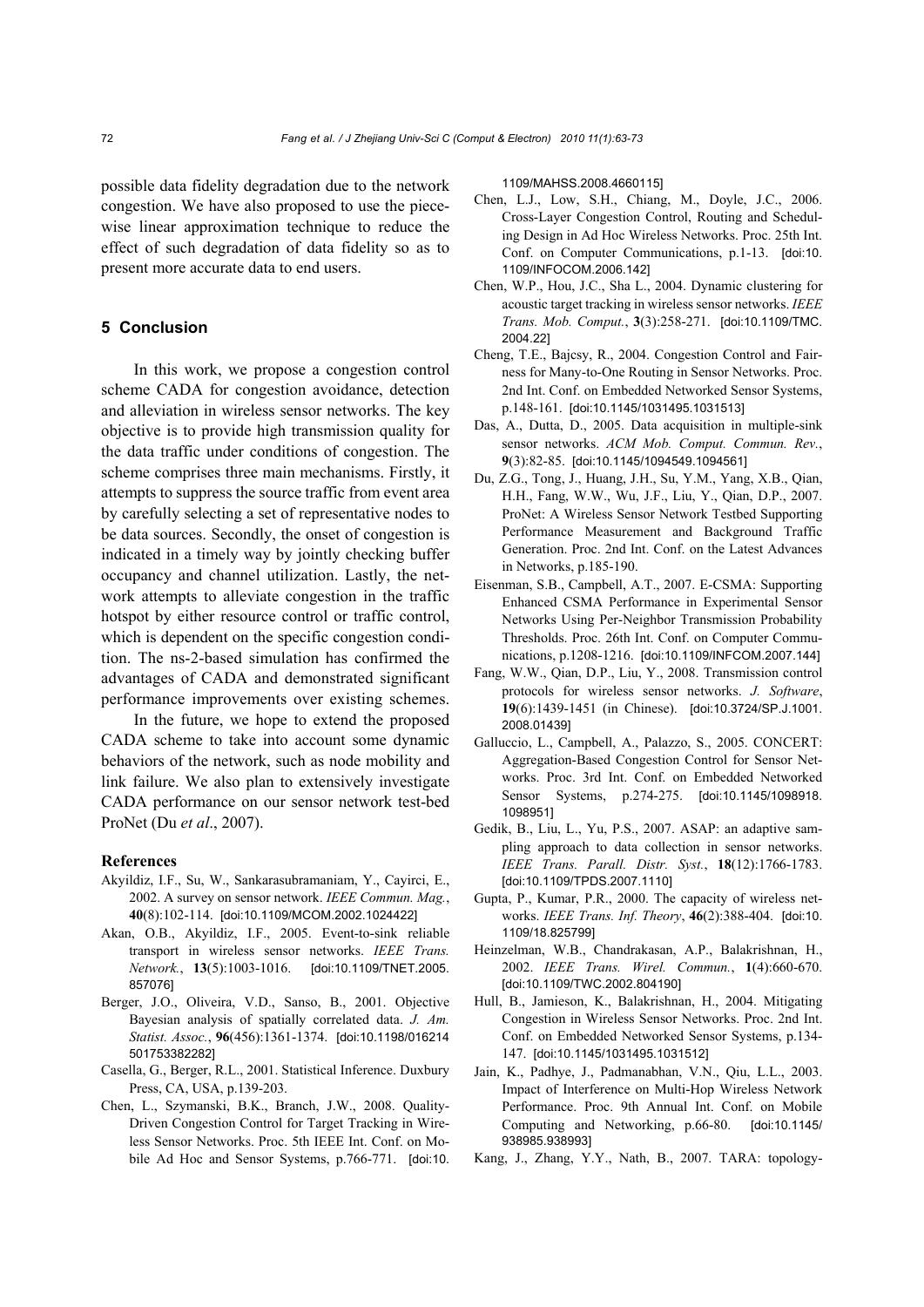possible data fidelity degradation due to the network congestion. We have also proposed to use the piecewise linear approximation technique to reduce the effect of such degradation of data fidelity so as to present more accurate data to end users.

## **5 Conclusion**

In this work, we propose a congestion control scheme CADA for congestion avoidance, detection and alleviation in wireless sensor networks. The key objective is to provide high transmission quality for the data traffic under conditions of congestion. The scheme comprises three main mechanisms. Firstly, it attempts to suppress the source traffic from event area by carefully selecting a set of representative nodes to be data sources. Secondly, the onset of congestion is indicated in a timely way by jointly checking buffer occupancy and channel utilization. Lastly, the network attempts to alleviate congestion in the traffic hotspot by either resource control or traffic control, which is dependent on the specific congestion condition. The ns-2-based simulation has confirmed the advantages of CADA and demonstrated significant performance improvements over existing schemes.

In the future, we hope to extend the proposed CADA scheme to take into account some dynamic behaviors of the network, such as node mobility and link failure. We also plan to extensively investigate CADA performance on our sensor network test-bed ProNet (Du *et al*., 2007).

#### **References**

- Akyildiz, I.F., Su, W., Sankarasubramaniam, Y., Cayirci, E., 2002. A survey on sensor network. *IEEE Commun. Mag.*, **40**(8):102-114. [doi:10.1109/MCOM.2002.1024422]
- Akan, O.B., Akyildiz, I.F., 2005. Event-to-sink reliable transport in wireless sensor networks. *IEEE Trans. Network.*, **13**(5):1003-1016. [doi:10.1109/TNET.2005. 857076]
- Berger, J.O., Oliveira, V.D., Sanso, B., 2001. Objective Bayesian analysis of spatially correlated data. *J. Am. Statist. Assoc.*, **96**(456):1361-1374. [doi:10.1198/016214 501753382282]
- Casella, G., Berger, R.L., 2001. Statistical Inference. Duxbury Press, CA, USA, p.139-203.
- Chen, L., Szymanski, B.K., Branch, J.W., 2008. Quality-Driven Congestion Control for Target Tracking in Wireless Sensor Networks. Proc. 5th IEEE Int. Conf. on Mobile Ad Hoc and Sensor Systems, p.766-771. [doi:10.

1109/MAHSS.2008.4660115]

- Chen, L.J., Low, S.H., Chiang, M., Doyle, J.C., 2006. Cross-Layer Congestion Control, Routing and Scheduling Design in Ad Hoc Wireless Networks. Proc. 25th Int. Conf. on Computer Communications, p.1-13. [doi:10.] 1109/INFOCOM.2006.142]
- Chen, W.P., Hou, J.C., Sha L., 2004. Dynamic clustering for acoustic target tracking in wireless sensor networks. *IEEE Trans. Mob. Comput.*, **3**(3):258-271. [doi:10.1109/TMC. 2004.22]
- Cheng, T.E., Bajcsy, R., 2004. Congestion Control and Fairness for Many-to-One Routing in Sensor Networks. Proc. 2nd Int. Conf. on Embedded Networked Sensor Systems, p.148-161. [doi:10.1145/1031495.1031513]
- Das, A., Dutta, D., 2005. Data acquisition in multiple-sink sensor networks. *ACM Mob. Comput. Commun. Rev.*, **9**(3):82-85. [doi:10.1145/1094549.1094561]
- Du, Z.G., Tong, J., Huang, J.H., Su, Y.M., Yang, X.B., Qian, H.H., Fang, W.W., Wu, J.F., Liu, Y., Qian, D.P., 2007. ProNet: A Wireless Sensor Network Testbed Supporting Performance Measurement and Background Traffic Generation. Proc. 2nd Int. Conf. on the Latest Advances in Networks, p.185-190.
- Eisenman, S.B., Campbell, A.T., 2007. E-CSMA: Supporting Enhanced CSMA Performance in Experimental Sensor Networks Using Per-Neighbor Transmission Probability Thresholds. Proc. 26th Int. Conf. on Computer Communications, p.1208-1216. [doi:10.1109/INFCOM.2007.144]
- Fang, W.W., Qian, D.P., Liu, Y., 2008. Transmission control protocols for wireless sensor networks. *J. Software*, **19**(6):1439-1451 (in Chinese). [doi:10.3724/SP.J.1001. 2008.01439]
- Galluccio, L., Campbell, A., Palazzo, S., 2005. CONCERT: Aggregation-Based Congestion Control for Sensor Networks. Proc. 3rd Int. Conf. on Embedded Networked Sensor Systems, p.274-275. [doi:10.1145/1098918. 1098951]
- Gedik, B., Liu, L., Yu, P.S., 2007. ASAP: an adaptive sampling approach to data collection in sensor networks. *IEEE Trans. Parall. Distr. Syst.*, **18**(12):1766-1783. [doi:10.1109/TPDS.2007.1110]
- Gupta, P., Kumar, P.R., 2000. The capacity of wireless networks. *IEEE Trans. Inf. Theory*, **46**(2):388-404. [doi:10. 1109/18.825799]
- Heinzelman, W.B., Chandrakasan, A.P., Balakrishnan, H., 2002. *IEEE Trans. Wirel. Commun.*, **1**(4):660-670. [doi:10.1109/TWC.2002.804190]
- Hull, B., Jamieson, K., Balakrishnan, H., 2004. Mitigating Congestion in Wireless Sensor Networks. Proc. 2nd Int. Conf. on Embedded Networked Sensor Systems, p.134- 147. [doi:10.1145/1031495.1031512]
- Jain, K., Padhye, J., Padmanabhan, V.N., Qiu, L.L., 2003. Impact of Interference on Multi-Hop Wireless Network Performance. Proc. 9th Annual Int. Conf. on Mobile Computing and Networking, p.66-80. [doi:10.1145/ 938985.938993]
- Kang, J., Zhang, Y.Y., Nath, B., 2007. TARA: topology-